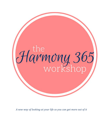

*A new way of looking at your life so you can get more out of it*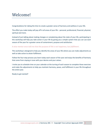#### Welcome!

Congratulations for taking the time to create a greater sense of harmony and wellness in your life.

The effort you make today will pay off in all areas of your life – personal, professional, financial, physical, spiritual and more.

Instead of just talking about making changes or complaining about the state of your life, participating in this workshop will help you take action in your life by giving you a simple system that you can use each season of the year for a greater sense of contentment, purpose and satisfaction.

A wise mentor once told me that the purpose of life is not happiness, but *fulfillment*.

This workshop is designed to help you identify the areas of your life where you can make adjustments as well as take action to attain fulfillment.

Follow the four-step process you learn today each season of the year and enjoy the benefits of harmony that come from staying in tune with your desires and your values.

I invite you to schedule time on your calendar at the turning of each season to complete these exercises and make the adjustments to help you maintain harmony, peace, and fulfillment in your life throughout the entire year.

Ready to get started?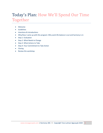# Today's Plan: How We'll Spend Our Time Together

- Welcome
- **Guidelines**
- Intentions & Introductions
- Why/How I came up with this program: Why work-life balance is out and harmony is in
- Step 1: Evaluation
- Step 2: What Needs to Change
- Step 3: What Actions to Take
- Step 4: Your Commitment to Take Action
- Closing
- Review this workshop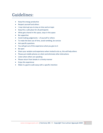#### Guidelines:

- Keep the energy productive
- Respect yourself and others
- I may interrupt you to stay on time and on topic
- Keep this a safe place for all participants
- What gets shared in this space, stays in this space
- Be supportive
- Avoid making judgements of yourself or others
- To make the best use of time, avoid rambling, be concise
- Ask specific questions
- You will get out of this experience what you give to it
- Be open
- Share your wisdom and experience when invited to do so, this will help others
- Please put mobile phones on silent and eliminate other distractions
- Listen when others are speaking
- Please return from breaks in a timely manner
- Enjoy this experience
- Make it a goal to walk away with a specific intention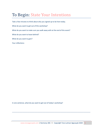#### To Begin: State Your Intentions

Take a few minutes to think about why you signed up to be here today.

What do you want to get out of this workshop?

What do you want to make sure you walk away with at the end of this event?

What do you want to leave behind?

What do you want to gain?

Your reflections:

In one sentence, what do you want to get out of today's workshop?

\_\_\_\_\_\_\_\_\_\_\_\_\_\_\_\_\_\_\_\_\_\_\_\_\_\_\_\_\_\_\_\_\_\_\_\_\_\_\_\_\_\_\_\_\_\_\_\_\_\_\_\_\_\_\_\_\_\_\_\_\_\_\_\_\_\_\_\_\_\_\_\_\_\_\_\_\_\_\_\_\_\_\_\_\_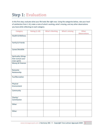# Step 1: Evaluation

In this first step, evaluate what your life looks like right now. Using the categories below, rate your level of satisfaction from 1-10, make a note of what's working, what's missing, and any other observations you have while reflecting on each category.

| <b>Category</b>                                            | <b>Rating (1-10)</b> | <b>What's Working</b> | <b>What's missing</b> | <b>Other</b><br><b>Observations</b> |
|------------------------------------------------------------|----------------------|-----------------------|-----------------------|-------------------------------------|
| <b>Health &amp; Wellness</b>                               |                      |                       |                       |                                     |
| Family & Friends                                           |                      |                       |                       |                                     |
| Career/Worklife                                            |                      |                       |                       |                                     |
| Spirituality (things<br>that nurture your<br>inner spirit) |                      |                       |                       |                                     |
| Money & Finances                                           |                      |                       |                       |                                     |
| Romantic<br>Relationship                                   |                      |                       |                       |                                     |
| Fun/Recreation                                             |                      |                       |                       |                                     |
| Physical<br>Environment                                    |                      |                       |                       |                                     |
| Community                                                  |                      |                       |                       |                                     |
| Charity/<br>Contribution                                   |                      |                       |                       |                                     |
| Other:                                                     |                      |                       |                       |                                     |
| Other:                                                     |                      |                       |                       |                                     |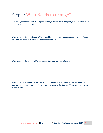# Step 2: What Needs to Change?

In this step, spend some time thinking about what you would like to change in your life to create more harmony, wellness and fulfillment.

What would you like to add more of? What would bring more joy, contentment or satisfaction? What are you curious about? What do you want to taste more of?

What would you like to reduce? What has been taking up too much of your time?

What would you like eliminate and take away completely? What is completely out of alignment with your desires and your values? What is draining your energy and enthusiasm? What needs to be taken out of your life?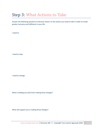#### Step 3: What Actions to Take

Answer the following questions to become clearer on the actions you need to take in order to create greater harmony and fulfillment in your life.

I need to:

I need to stop:

I need to change:

What is holding you back from making these changes?

What will support you in making these changes?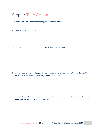#### Step 4: Take Action

In this final step, you will commit to taking one or more action steps.

This season, I am committed to:

By this date \_\_\_\_\_\_\_\_\_\_\_\_\_\_\_\_\_\_\_\_\_\_\_\_\_, I will have done the following:

Close your eyes and imagine what your life looks like three months from now. What has changed? How do you feel? How do you look? What are you doing differently?

In order to set yourself up for success in making the changes you've committed to here, schedule time on your calendar to take the actions you've listed.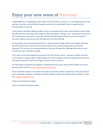#### Enjoy your new sense of Harmony

Congratulations on completing the four steps in this workshop. Of course, it is not enough just to do the exercises; you also need to follow through on what you've committed to here to experience the transformation in your life.

I once heard a champion athlete say that success is boring because it often means doing the same thing day after day. But small steps taken daily to create new habits – boring or not – will become the basis for the transformation you desire in your life. And this transformation will get you to the new level of harmony, wellness and success that will make your life more fulfilling.

On days where your commitment feels like it is weak, go back to Step 4 where you imagine what your life will look like at the end of this three-month period. See yourself transformed. See your life improved. This can be a very strong motivator to take you through the challenges that come up and prevent you from reaching your goals.

This is why I recommend doing this exercise at the start of each season – 90 days is neither too short, nor too long. It's long enough to make progress, but short enough to keep from getting too bored with any habits required to make the changes you wish to see in your life.

For more ideas, inspiration and support in creating harmony in your work and life, follow me on your favorite social channel at [www.taraagacayak.com/contact.](http://www.taraagacayak.com/contact)

If you would like support in any of the areas that we covered in today's workshop or are curious about other workshops, programs, coaching or advisory support, please see me after the workshop, or email me[: tara@taraagacayak.com](mailto:tara@taraagacayak.com)

Thank you for being here today.

Thank yourself for being here today.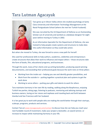# Tara Lutman Agacayak



Tara grew up in Silicon Valley where she studied psychology at Santa Clara University and Information Technology Management at the Naval Postgraduate School (where she met her Turkish husband).

She was recruited by the US Department of Defense as an Outstanding Scholar out of university and worked as a database designer for eight years before moving to Turkey in 2002.

As an Information Specialist for the Department of Defense, she was trained to help people create systems and structures to make data into useful information so they could take action.

But when she moved to Turkey, she was forced to carve a new path for herself.

She used her professional skills to help authors, academics, celebrities and entrepreneurs create structures that allow their work to influence and impact others – those structures take the form of books, film, educational programs, and businesses.

Through this work, many of her clients end up writing bestsellers, producing award-winning documentaries, and exceeding their professional goals because the work rests on three pillars:

- Working from the inside out helping you see and identify greater possibilities, and
- Work from the outside in putting together a practical plan and systems to get the work done
- Working to serve others putting your gifts and talents to work for others

Tara maintains harmony in her own life by reading, walking along the Bosphorous, enjoying Turkish tea parties, doing yoga, listening to podcasts, mentoring and advising startups and business-owners, loving on her nieces and nephews and traveling back and forth between Istanbul and San Francisco with her husband.

It is her great joy to work with people who are making the world better through their startups, scaleups, programs, products and services.

Contact Tara at [www.taraagacayak.com/contact](http://www.taraagacayak.com/contact) to discuss how she can help you reach your next fundable round of investment, make your project a bestseller, an award-winner, or increase its impact while maintaining harmony in your life.